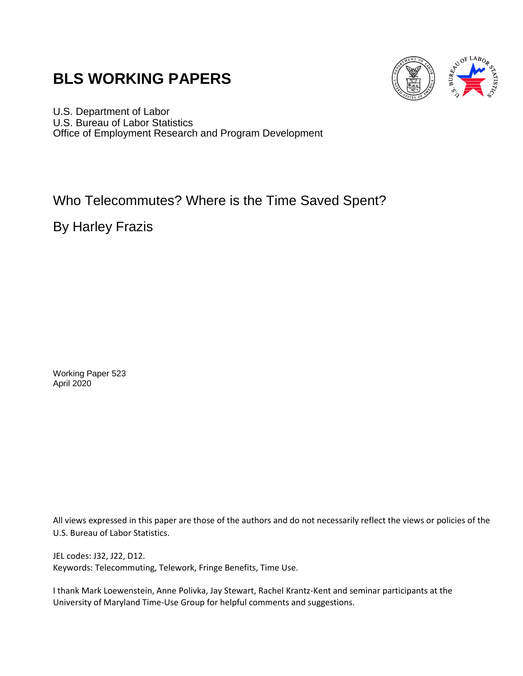# **BLS WORKING PAPERS**



U.S. Department of Labor U.S. Bureau of Labor Statistics Office of Employment Research and Program Development

# Who Telecommutes? Where is the Time Saved Spent?

By Harley Frazis

Working Paper 523 April 2020

All views expressed in this paper are those of the authors and do not necessarily reflect the views or policies of the U.S. Bureau of Labor Statistics.

JEL codes: J32, J22, D12. Keywords: Telecommuting, Telework, Fringe Benefits, Time Use.

I thank Mark Loewenstein, Anne Polivka, Jay Stewart, Rachel Krantz-Kent and seminar participants at the University of Maryland Time-Use Group for helpful comments and suggestions.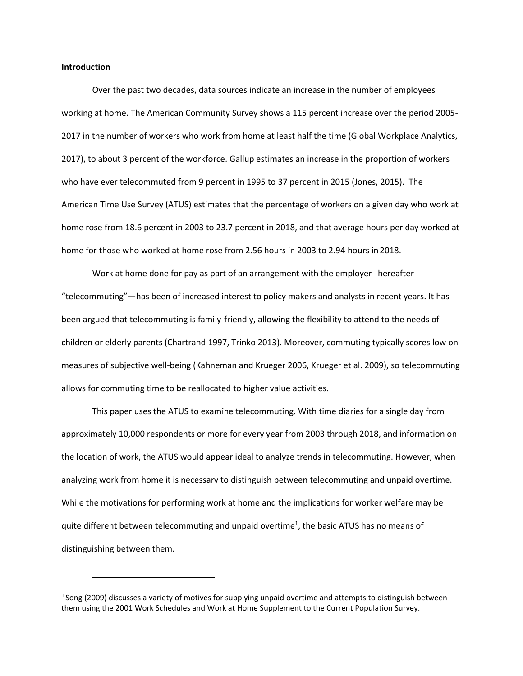#### **Introduction**

Over the past two decades, data sources indicate an increase in the number of employees working at home. The American Community Survey shows a 115 percent increase over the period 2005- 2017 in the number of workers who work from home at least half the time (Global Workplace Analytics, 2017), to about 3 percent of the workforce. Gallup estimates an increase in the proportion of workers who have ever telecommuted from 9 percent in 1995 to 37 percent in 2015 (Jones, 2015). The American Time Use Survey (ATUS) estimates that the percentage of workers on a given day who work at home rose from 18.6 percent in 2003 to 23.7 percent in 2018, and that average hours per day worked at home for those who worked at home rose from 2.56 hours in 2003 to 2.94 hours in 2018.

Work at home done for pay as part of an arrangement with the employer--hereafter "telecommuting"—has been of increased interest to policy makers and analysts in recent years. It has been argued that telecommuting is family-friendly, allowing the flexibility to attend to the needs of children or elderly parents (Chartrand 1997, Trinko 2013). Moreover, commuting typically scores low on measures of subjective well-being (Kahneman and Krueger 2006, Krueger et al. 2009), so telecommuting allows for commuting time to be reallocated to higher value activities.

This paper uses the ATUS to examine telecommuting. With time diaries for a single day from approximately 10,000 respondents or more for every year from 2003 through 2018, and information on the location of work, the ATUS would appear ideal to analyze trends in telecommuting. However, when analyzing work from home it is necessary to distinguish between telecommuting and unpaid overtime. While the motivations for performing work at home and the implications for worker welfare may be quit[e](#page-1-0) different between telecommuting and unpaid overtime<sup>1</sup>, the basic ATUS has no means of distinguishing between them.

<span id="page-1-0"></span> $1$ Song (2009) discusses a variety of motives for supplying unpaid overtime and attempts to distinguish between them using the 2001 Work Schedules and Work at Home Supplement to the Current Population Survey.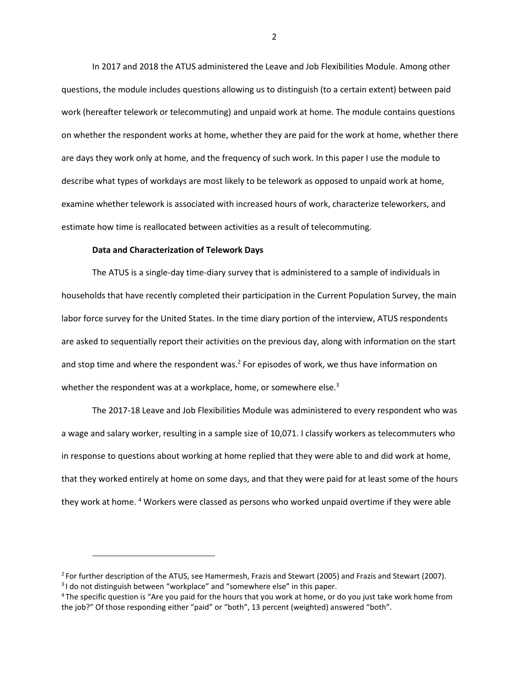In 2017 and 2018 the ATUS administered the Leave and Job Flexibilities Module. Among other questions, the module includes questions allowing us to distinguish (to a certain extent) between paid work (hereafter telework or telecommuting) and unpaid work at home. The module contains questions on whether the respondent works at home, whether they are paid for the work at home, whether there are days they work only at home, and the frequency of such work. In this paper I use the module to describe what types of workdays are most likely to be telework as opposed to unpaid work at home, examine whether telework is associated with increased hours of work, characterize teleworkers, and estimate how time is reallocated between activities as a result of telecommuting.

#### **Data and Characterization of Telework Days**

The ATUS is a single-day time-diary survey that is administered to a sample of individuals in households that have recently completed their participation in the Current Population Survey, the main labor force survey for the United States. In the time diary portion of the interview, ATUS respondents are asked to sequentially report their activities on the previous day, along with information on the start and stop time and where the respondent was[.](#page-2-0)<sup>2</sup> For episodes of work, we thus have information on whether the respondent was at a workplace, home, or somewhere else[.](#page-2-1) $3$ 

The 2017-18 Leave and Job Flexibilities Module was administered to every respondent who was a wage and salary worker, resulting in a sample size of 10,071. I classify workers as telecommuters who in response to questions about working at home replied that they were able to and did work at home, that they worked entirely at home on some days, and that they were paid for at least some of the hours they work at home. [4](#page-2-2) Workers were classed as persons who worked unpaid overtime if they were able

<span id="page-2-1"></span><span id="page-2-0"></span><sup>&</sup>lt;sup>2</sup> For further description of the ATUS, see Hamermesh, Frazis and Stewart (2005) and Frazis and Stewart (2007). <sup>3</sup>I do not distinguish between "workplace" and "somewhere else" in this paper.

<span id="page-2-2"></span><sup>&</sup>lt;sup>4</sup>The specific question is "Are you paid for the hours that you work at home, or do you just take work home from the job?" Of those responding either "paid" or "both", 13 percent (weighted) answered "both".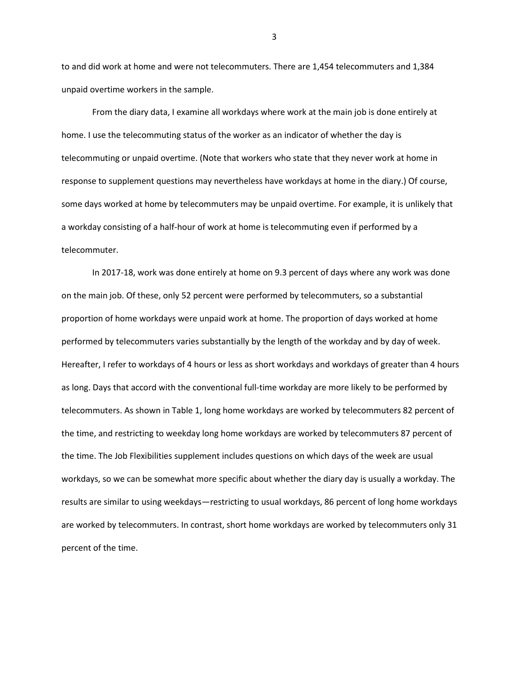to and did work at home and were not telecommuters. There are 1,454 telecommuters and 1,384 unpaid overtime workers in the sample.

From the diary data, I examine all workdays where work at the main job is done entirely at home. I use the telecommuting status of the worker as an indicator of whether the day is telecommuting or unpaid overtime. (Note that workers who state that they never work at home in response to supplement questions may nevertheless have workdays at home in the diary.) Of course, some days worked at home by telecommuters may be unpaid overtime. For example, it is unlikely that a workday consisting of a half-hour of work at home is telecommuting even if performed by a telecommuter.

In 2017-18, work was done entirely at home on 9.3 percent of days where any work was done on the main job. Of these, only 52 percent were performed by telecommuters, so a substantial proportion of home workdays were unpaid work at home. The proportion of days worked at home performed by telecommuters varies substantially by the length of the workday and by day of week. Hereafter, I refer to workdays of 4 hours or less as short workdays and workdays of greater than 4 hours as long. Days that accord with the conventional full-time workday are more likely to be performed by telecommuters. As shown in Table 1, long home workdays are worked by telecommuters 82 percent of the time, and restricting to weekday long home workdays are worked by telecommuters 87 percent of the time. The Job Flexibilities supplement includes questions on which days of the week are usual workdays, so we can be somewhat more specific about whether the diary day is usually a workday. The results are similar to using weekdays—restricting to usual workdays, 86 percent of long home workdays are worked by telecommuters. In contrast, short home workdays are worked by telecommuters only 31 percent of the time.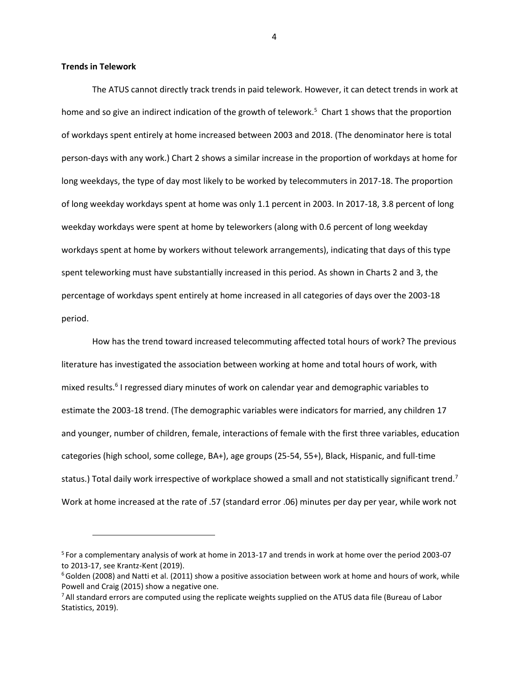#### **Trends in Telework**

The ATUS cannot directly track trends in paid telework. However, it can detect trends in work at home and so give an indirect indication of the growth of telewor[k.](#page-4-0)<sup>5</sup> Chart 1 shows that the proportion of workdays spent entirely at home increased between 2003 and 2018. (The denominator here is total person-days with any work.) Chart 2 shows a similar increase in the proportion of workdays at home for long weekdays, the type of day most likely to be worked by telecommuters in 2017-18. The proportion of long weekday workdays spent at home was only 1.1 percent in 2003. In 2017-18, 3.8 percent of long weekday workdays were spent at home by teleworkers (along with 0.6 percent of long weekday workdays spent at home by workers without telework arrangements), indicating that days of this type spent teleworking must have substantially increased in this period. As shown in Charts 2 and 3, the percentage of workdays spent entirely at home increased in all categories of days over the 2003-18 period.

How has the trend toward increased telecommuting affected total hours of work? The previous literature has investigated the association between working at home and total hours of work, with mixed results[.](#page-4-1)<sup>6</sup> I regressed diary minutes of work on calendar year and demographic variables to estimate the 2003-18 trend. (The demographic variables were indicators for married, any children 17 and younger, number of children, female, interactions of female with the first three variables, education categories (high school, some college, BA+), age groups (25-54, 55+), Black, Hispanic, and full-time status.) Total daily work irrespective of workplace showed a small and not statistically significant tren[d.](#page-4-2)<sup>7</sup> Work at home increased at the rate of .57 (standard error .06) minutes per day per year, while work not

<span id="page-4-0"></span><sup>5</sup>For a complementary analysis of work at home in 2013-17 and trends in work at home over the period 2003-07 to 2013-17, see Krantz-Kent (2019).

<span id="page-4-1"></span> $6$ Golden (2008) and Natti et al. (2011) show a positive association between work at home and hours of work, while Powell and Craig (2015) show a negative one.

<span id="page-4-2"></span><sup>&</sup>lt;sup>7</sup> All standard errors are computed using the replicate weights supplied on the ATUS data file (Bureau of Labor Statistics, 2019).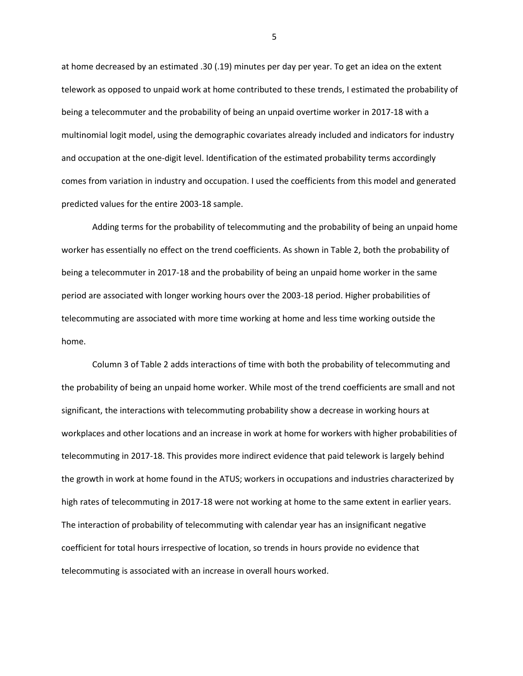at home decreased by an estimated .30 (.19) minutes per day per year. To get an idea on the extent telework as opposed to unpaid work at home contributed to these trends, I estimated the probability of being a telecommuter and the probability of being an unpaid overtime worker in 2017-18 with a multinomial logit model, using the demographic covariates already included and indicators for industry and occupation at the one-digit level. Identification of the estimated probability terms accordingly comes from variation in industry and occupation. I used the coefficients from this model and generated predicted values for the entire 2003-18 sample.

Adding terms for the probability of telecommuting and the probability of being an unpaid home worker has essentially no effect on the trend coefficients. As shown in Table 2, both the probability of being a telecommuter in 2017-18 and the probability of being an unpaid home worker in the same period are associated with longer working hours over the 2003-18 period. Higher probabilities of telecommuting are associated with more time working at home and less time working outside the home.

Column 3 of Table 2 adds interactions of time with both the probability of telecommuting and the probability of being an unpaid home worker. While most of the trend coefficients are small and not significant, the interactions with telecommuting probability show a decrease in working hours at workplaces and other locations and an increase in work at home for workers with higher probabilities of telecommuting in 2017-18. This provides more indirect evidence that paid telework is largely behind the growth in work at home found in the ATUS; workers in occupations and industries characterized by high rates of telecommuting in 2017-18 were not working at home to the same extent in earlier years. The interaction of probability of telecommuting with calendar year has an insignificant negative coefficient for total hours irrespective of location, so trends in hours provide no evidence that telecommuting is associated with an increase in overall hours worked.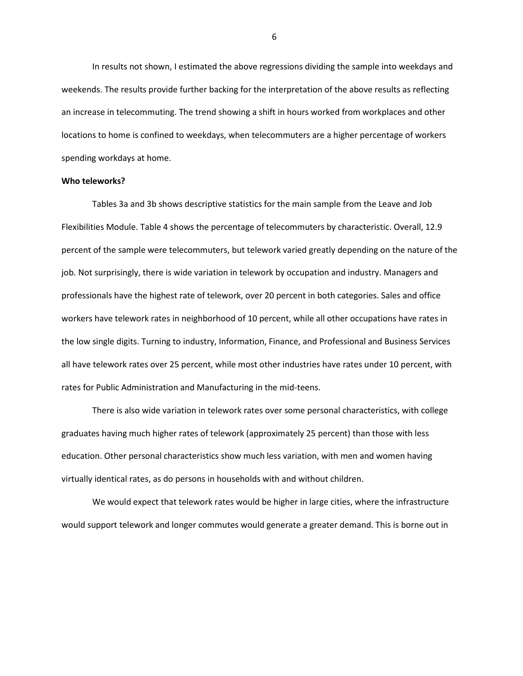In results not shown, I estimated the above regressions dividing the sample into weekdays and weekends. The results provide further backing for the interpretation of the above results as reflecting an increase in telecommuting. The trend showing a shift in hours worked from workplaces and other locations to home is confined to weekdays, when telecommuters are a higher percentage of workers spending workdays at home.

#### **Who teleworks?**

Tables 3a and 3b shows descriptive statistics for the main sample from the Leave and Job Flexibilities Module. Table 4 shows the percentage of telecommuters by characteristic. Overall, 12.9 percent of the sample were telecommuters, but telework varied greatly depending on the nature of the job. Not surprisingly, there is wide variation in telework by occupation and industry. Managers and professionals have the highest rate of telework, over 20 percent in both categories. Sales and office workers have telework rates in neighborhood of 10 percent, while all other occupations have rates in the low single digits. Turning to industry, Information, Finance, and Professional and Business Services all have telework rates over 25 percent, while most other industries have rates under 10 percent, with rates for Public Administration and Manufacturing in the mid-teens.

There is also wide variation in telework rates over some personal characteristics, with college graduates having much higher rates of telework (approximately 25 percent) than those with less education. Other personal characteristics show much less variation, with men and women having virtually identical rates, as do persons in households with and without children.

We would expect that telework rates would be higher in large cities, where the infrastructure would support telework and longer commutes would generate a greater demand. This is borne out in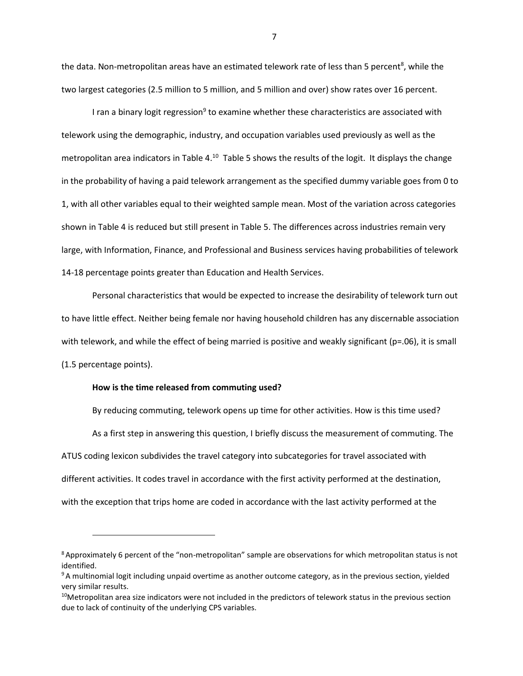the data. Non-metropolitan areas have an estimated telework rate of less than 5 percent<sup>[8](#page-7-0)</sup>, while the two largest categories (2.5 million to 5 million, and 5 million and over) show rates over 16 percent.

I ra[n](#page-7-1) a binary logit regression<sup>9</sup> to examine whether these characteristics are associated with telework using the demographic, industry, and occupation variables used previously as well as the metropolitan area indicators in Table 4.<sup>[10](#page-7-2)</sup> Table 5 shows the results of the logit. It displays the change in the probability of having a paid telework arrangement as the specified dummy variable goes from 0 to 1, with all other variables equal to their weighted sample mean. Most of the variation across categories shown in Table 4 is reduced but still present in Table 5. The differences across industries remain very large, with Information, Finance, and Professional and Business services having probabilities of telework 14-18 percentage points greater than Education and Health Services.

Personal characteristics that would be expected to increase the desirability of telework turn out to have little effect. Neither being female nor having household children has any discernable association with telework, and while the effect of being married is positive and weakly significant (p=.06), it is small (1.5 percentage points).

#### **How is the time released from commuting used?**

By reducing commuting, telework opens up time for other activities. How is this time used? As a first step in answering this question, I briefly discuss the measurement of commuting. The ATUS coding lexicon subdivides the travel category into subcategories for travel associated with different activities. It codes travel in accordance with the first activity performed at the destination, with the exception that trips home are coded in accordance with the last activity performed at the

<span id="page-7-0"></span><sup>8</sup>Approximately 6 percent of the "non-metropolitan" sample are observations for which metropolitan status is not identified.

<span id="page-7-1"></span><sup>&</sup>lt;sup>9</sup>A multinomial logit including unpaid overtime as another outcome category, as in the previous section, yielded very similar results.

<span id="page-7-2"></span> $10$ Metropolitan area size indicators were not included in the predictors of telework status in the previous section due to lack of continuity of the underlying CPS variables.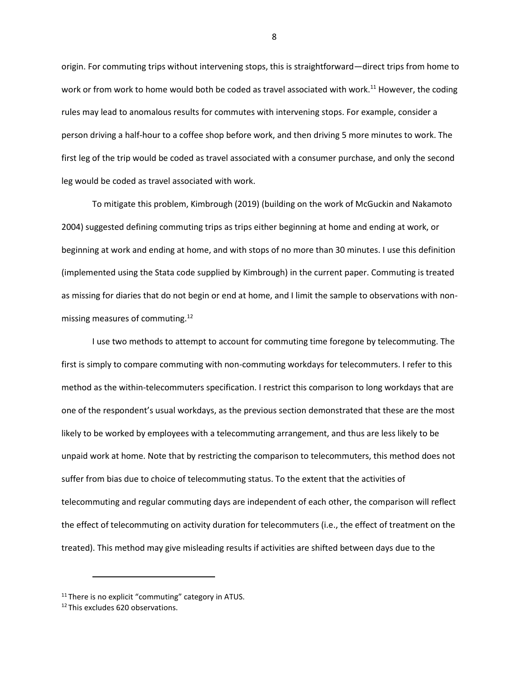origin. For commuting trips without intervening stops, this is straightforward—direct trips from home to work or from work to home would both be coded as travel associated with work.<sup>[11](#page-8-0)</sup> However, the coding rules may lead to anomalous results for commutes with intervening stops. For example, consider a person driving a half-hour to a coffee shop before work, and then driving 5 more minutes to work. The first leg of the trip would be coded as travel associated with a consumer purchase, and only the second leg would be coded as travel associated with work.

To mitigate this problem, Kimbrough (2019) (building on the work of McGuckin and Nakamoto 2004) suggested defining commuting trips as trips either beginning at home and ending at work, or beginning at work and ending at home, and with stops of no more than 30 minutes. I use this definition (implemented using the Stata code supplied by Kimbrough) in the current paper. Commuting is treated as missing for diaries that do not begin or end at home, and I limit the sample to observations with nonmissing measures of commuting.[12](#page-8-1)

I use two methods to attempt to account for commuting time foregone by telecommuting. The first is simply to compare commuting with non-commuting workdays for telecommuters. I refer to this method as the within-telecommuters specification. I restrict this comparison to long workdays that are one of the respondent's usual workdays, as the previous section demonstrated that these are the most likely to be worked by employees with a telecommuting arrangement, and thus are less likely to be unpaid work at home. Note that by restricting the comparison to telecommuters, this method does not suffer from bias due to choice of telecommuting status. To the extent that the activities of telecommuting and regular commuting days are independent of each other, the comparison will reflect the effect of telecommuting on activity duration for telecommuters (i.e., the effect of treatment on the treated). This method may give misleading results if activities are shifted between days due to the

<span id="page-8-0"></span><sup>&</sup>lt;sup>11</sup> There is no explicit "commuting" category in ATUS.

<span id="page-8-1"></span><sup>&</sup>lt;sup>12</sup> This excludes 620 observations.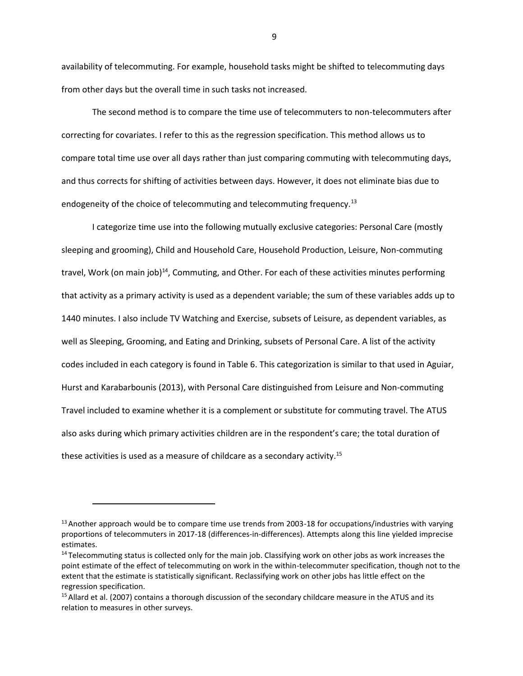availability of telecommuting. For example, household tasks might be shifted to telecommuting days from other days but the overall time in such tasks not increased.

The second method is to compare the time use of telecommuters to non-telecommuters after correcting for covariates. I refer to this as the regression specification. This method allows us to compare total time use over all days rather than just comparing commuting with telecommuting days, and thus corrects for shifting of activities between days. However, it does not eliminate bias due to endogeneity of the choice of telecommuting and telecommuting frequency.<sup>[13](#page-9-0)</sup>

I categorize time use into the following mutually exclusive categories: Personal Care (mostly sleeping and grooming), Child and Household Care, Household Production, Leisure, Non-commuting travel, Work (on main job) $^{14}$  $^{14}$  $^{14}$ , Commuting, and Other. For each of these activities minutes performing that activity as a primary activity is used as a dependent variable; the sum of these variables adds up to 1440 minutes. I also include TV Watching and Exercise, subsets of Leisure, as dependent variables, as well as Sleeping, Grooming, and Eating and Drinking, subsets of Personal Care. A list of the activity codes included in each category is found in Table 6. This categorization is similar to that used in Aguiar, Hurst and Karabarbounis (2013), with Personal Care distinguished from Leisure and Non-commuting Travel included to examine whether it is a complement or substitute for commuting travel. The ATUS also asks during which primary activities children are in the respondent's care; the total duration of these activities is used as a measure of childcare as a secondary activity.<sup>[15](#page-9-2)</sup>

<span id="page-9-0"></span> $13$  Another approach would be to compare time use trends from 2003-18 for occupations/industries with varying proportions of telecommuters in 2017-18 (differences-in-differences). Attempts along this line yielded imprecise estimates.

<span id="page-9-1"></span><sup>&</sup>lt;sup>14</sup> Telecommuting status is collected only for the main job. Classifying work on other jobs as work increases the point estimate of the effect of telecommuting on work in the within-telecommuter specification, though not to the extent that the estimate is statistically significant. Reclassifying work on other jobs has little effect on the regression specification.

<span id="page-9-2"></span><sup>&</sup>lt;sup>15</sup> Allard et al. (2007) contains a thorough discussion of the secondary childcare measure in the ATUS and its relation to measures in other surveys.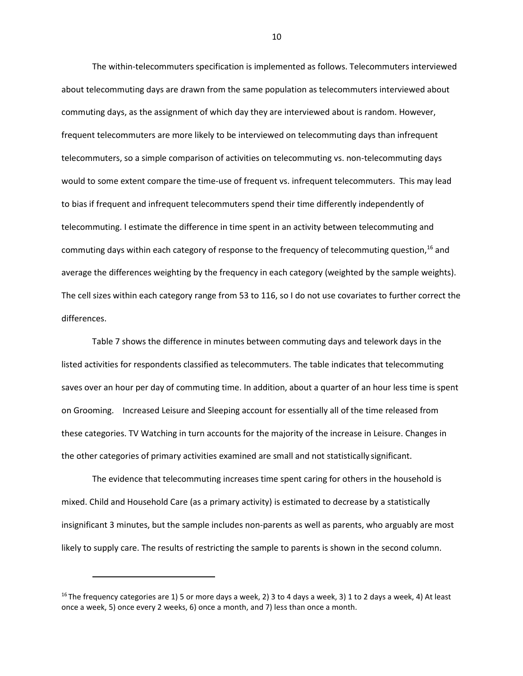The within-telecommuters specification is implemented as follows. Telecommuters interviewed about telecommuting days are drawn from the same population as telecommuters interviewed about commuting days, as the assignment of which day they are interviewed about is random. However, frequent telecommuters are more likely to be interviewed on telecommuting days than infrequent telecommuters, so a simple comparison of activities on telecommuting vs. non-telecommuting days would to some extent compare the time-use of frequent vs. infrequent telecommuters. This may lead to bias if frequent and infrequent telecommuters spend their time differently independently of telecommuting. I estimate the difference in time spent in an activity between telecommuting and commuting days within each category of response to the frequency of telecommuting question,  $^{16}$  $^{16}$  $^{16}$  and average the differences weighting by the frequency in each category (weighted by the sample weights). The cell sizes within each category range from 53 to 116, so I do not use covariates to further correct the differences.

Table 7 shows the difference in minutes between commuting days and telework days in the listed activities for respondents classified as telecommuters. The table indicates that telecommuting saves over an hour per day of commuting time. In addition, about a quarter of an hour less time is spent on Grooming. Increased Leisure and Sleeping account for essentially all of the time released from these categories. TV Watching in turn accounts for the majority of the increase in Leisure. Changes in the other categories of primary activities examined are small and not statistically significant.

The evidence that telecommuting increases time spent caring for others in the household is mixed. Child and Household Care (as a primary activity) is estimated to decrease by a statistically insignificant 3 minutes, but the sample includes non-parents as well as parents, who arguably are most likely to supply care. The results of restricting the sample to parents is shown in the second column.

<span id="page-10-0"></span><sup>&</sup>lt;sup>16</sup>The frequency categories are 1) 5 or more days a week, 2) 3 to 4 days a week, 3) 1 to 2 days a week, 4) At least once a week, 5) once every 2 weeks, 6) once a month, and 7) less than once a month.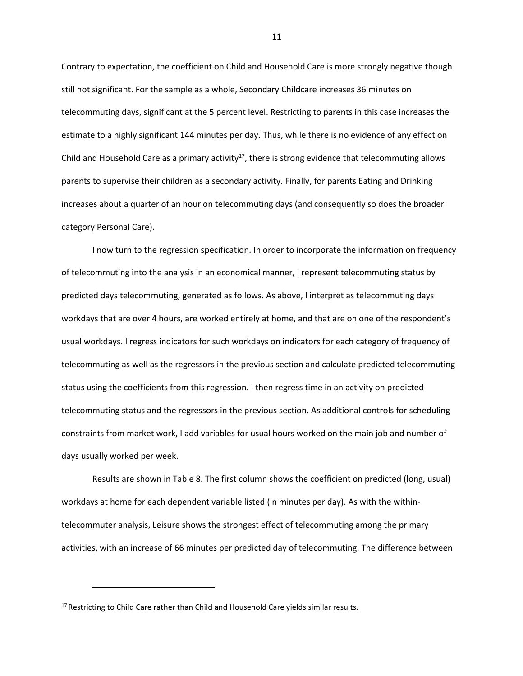Contrary to expectation, the coefficient on Child and Household Care is more strongly negative though still not significant. For the sample as a whole, Secondary Childcare increases 36 minutes on telecommuting days, significant at the 5 percent level. Restricting to parents in this case increases the estimate to a highly significant 144 minutes per day. Thus, while there is no evidence of any effect on Child and Household Care as a primary activity<sup>[17](#page-11-0)</sup>, there is strong evidence that telecommuting allows parents to supervise their children as a secondary activity. Finally, for parents Eating and Drinking increases about a quarter of an hour on telecommuting days (and consequently so does the broader category Personal Care).

I now turn to the regression specification. In order to incorporate the information on frequency of telecommuting into the analysis in an economical manner, I represent telecommuting status by predicted days telecommuting, generated as follows. As above, I interpret as telecommuting days workdays that are over 4 hours, are worked entirely at home, and that are on one of the respondent's usual workdays. I regress indicators for such workdays on indicators for each category of frequency of telecommuting as well as the regressors in the previous section and calculate predicted telecommuting status using the coefficients from this regression. I then regress time in an activity on predicted telecommuting status and the regressors in the previous section. As additional controls for scheduling constraints from market work, I add variables for usual hours worked on the main job and number of days usually worked per week.

Results are shown in Table 8. The first column shows the coefficient on predicted (long, usual) workdays at home for each dependent variable listed (in minutes per day). As with the withintelecommuter analysis, Leisure shows the strongest effect of telecommuting among the primary activities, with an increase of 66 minutes per predicted day of telecommuting. The difference between

<span id="page-11-0"></span><sup>&</sup>lt;sup>17</sup> Restricting to Child Care rather than Child and Household Care yields similar results.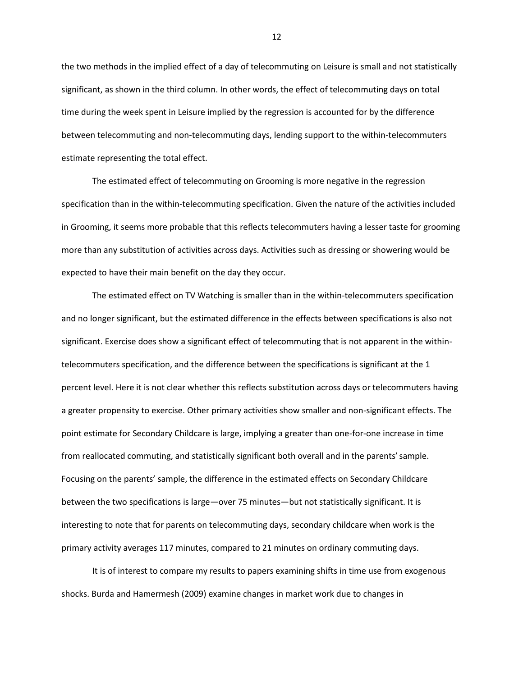the two methods in the implied effect of a day of telecommuting on Leisure is small and not statistically significant, as shown in the third column. In other words, the effect of telecommuting days on total time during the week spent in Leisure implied by the regression is accounted for by the difference between telecommuting and non-telecommuting days, lending support to the within-telecommuters estimate representing the total effect.

The estimated effect of telecommuting on Grooming is more negative in the regression specification than in the within-telecommuting specification. Given the nature of the activities included in Grooming, it seems more probable that this reflects telecommuters having a lesser taste for grooming more than any substitution of activities across days. Activities such as dressing or showering would be expected to have their main benefit on the day they occur.

The estimated effect on TV Watching is smaller than in the within-telecommuters specification and no longer significant, but the estimated difference in the effects between specifications is also not significant. Exercise does show a significant effect of telecommuting that is not apparent in the withintelecommuters specification, and the difference between the specifications is significant at the 1 percent level. Here it is not clear whether this reflects substitution across days or telecommuters having a greater propensity to exercise. Other primary activities show smaller and non-significant effects. The point estimate for Secondary Childcare is large, implying a greater than one-for-one increase in time from reallocated commuting, and statistically significant both overall and in the parents'sample. Focusing on the parents' sample, the difference in the estimated effects on Secondary Childcare between the two specifications is large—over 75 minutes—but not statistically significant. It is interesting to note that for parents on telecommuting days, secondary childcare when work is the primary activity averages 117 minutes, compared to 21 minutes on ordinary commuting days.

It is of interest to compare my results to papers examining shifts in time use from exogenous shocks. Burda and Hamermesh (2009) examine changes in market work due to changes in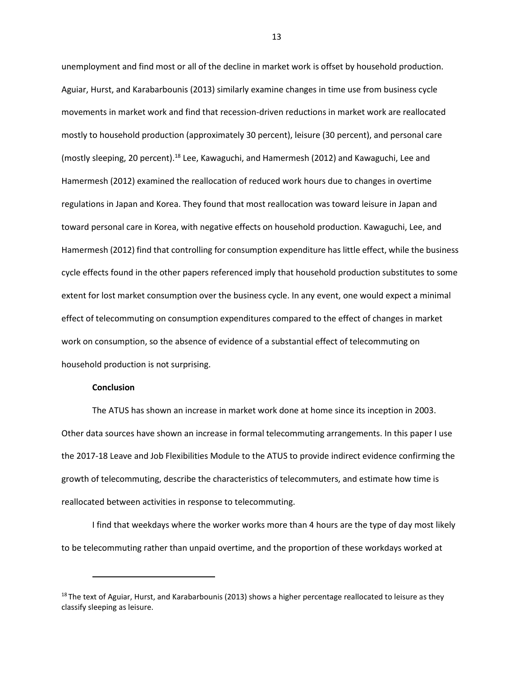unemployment and find most or all of the decline in market work is offset by household production. Aguiar, Hurst, and Karabarbounis (2013) similarly examine changes in time use from business cycle movements in market work and find that recession-driven reductions in market work are reallocated mostly to household production (approximately 30 percent), leisure (30 percent), and personal care (mostly sleeping, 20 percent).[18](#page-13-0) Lee, Kawaguchi, and Hamermesh (2012) and Kawaguchi, Lee and Hamermesh (2012) examined the reallocation of reduced work hours due to changes in overtime regulations in Japan and Korea. They found that most reallocation was toward leisure in Japan and toward personal care in Korea, with negative effects on household production. Kawaguchi, Lee, and Hamermesh (2012) find that controlling for consumption expenditure has little effect, while the business cycle effects found in the other papers referenced imply that household production substitutes to some extent for lost market consumption over the business cycle. In any event, one would expect a minimal effect of telecommuting on consumption expenditures compared to the effect of changes in market work on consumption, so the absence of evidence of a substantial effect of telecommuting on household production is not surprising.

#### **Conclusion**

The ATUS has shown an increase in market work done at home since its inception in 2003. Other data sources have shown an increase in formal telecommuting arrangements. In this paper I use the 2017-18 Leave and Job Flexibilities Module to the ATUS to provide indirect evidence confirming the growth of telecommuting, describe the characteristics of telecommuters, and estimate how time is reallocated between activities in response to telecommuting.

I find that weekdays where the worker works more than 4 hours are the type of day most likely to be telecommuting rather than unpaid overtime, and the proportion of these workdays worked at

<span id="page-13-0"></span> $18$  The text of Aguiar, Hurst, and Karabarbounis (2013) shows a higher percentage reallocated to leisure as they classify sleeping as leisure.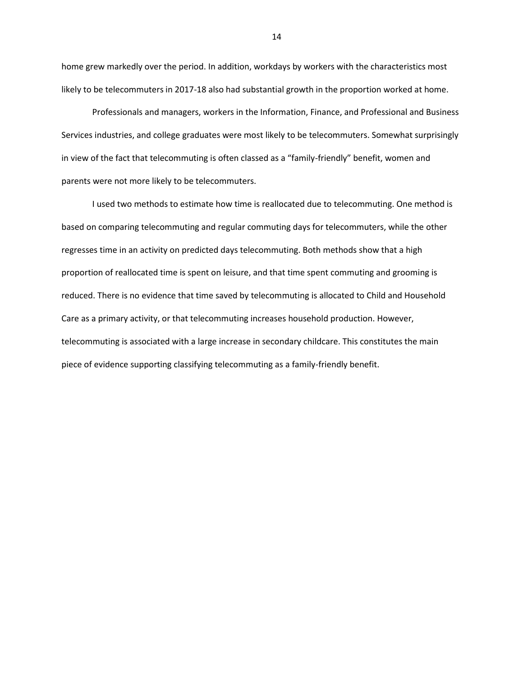home grew markedly over the period. In addition, workdays by workers with the characteristics most likely to be telecommuters in 2017-18 also had substantial growth in the proportion worked at home.

Professionals and managers, workers in the Information, Finance, and Professional and Business Services industries, and college graduates were most likely to be telecommuters. Somewhat surprisingly in view of the fact that telecommuting is often classed as a "family-friendly" benefit, women and parents were not more likely to be telecommuters.

I used two methods to estimate how time is reallocated due to telecommuting. One method is based on comparing telecommuting and regular commuting days for telecommuters, while the other regresses time in an activity on predicted days telecommuting. Both methods show that a high proportion of reallocated time is spent on leisure, and that time spent commuting and grooming is reduced. There is no evidence that time saved by telecommuting is allocated to Child and Household Care as a primary activity, or that telecommuting increases household production. However, telecommuting is associated with a large increase in secondary childcare. This constitutes the main piece of evidence supporting classifying telecommuting as a family-friendly benefit.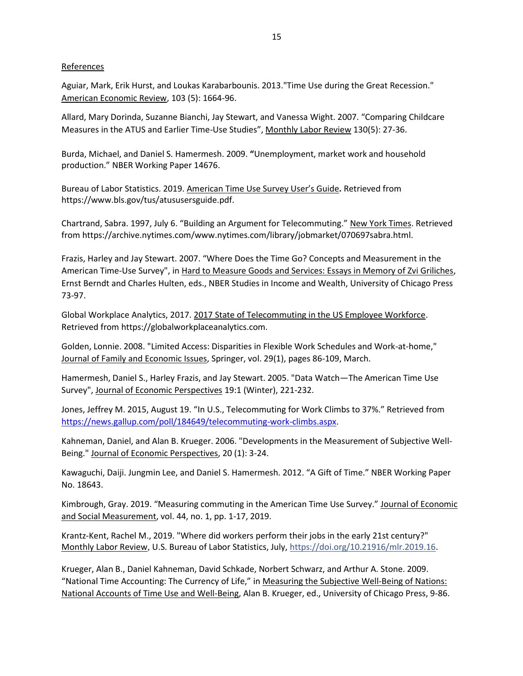#### References

Aguiar, Mark, Erik Hurst, and Loukas Karabarbounis. 2013."Time Use during the Great Recession." American Economic Review, 103 (5): 1664-96.

Allard, Mary Dorinda, Suzanne Bianchi, Jay Stewart, and Vanessa Wight. 2007. ["Comparing Childcare](https://www.bls.gov/opub/mlr/2007/05/art3full.pdf) [Measures in the ATUS and Earlier Time-Use Studies](https://www.bls.gov/opub/mlr/2007/05/art3full.pdf)", Monthly Labor Review 130(5): 27-36.

Burda, Michael, and Daniel S. Hamermesh. 2009. **"**Unemployment, market work and household production." NBER Working Paper 14676.

Bureau of Labor Statistics. 2019. American Time Use Survey User's Guide**.** Retrieved fro[m](https://www.bls.gov/tus/atususersguide.pdf) [https://www.bls.gov/tus/atususersguide.pdf.](https://www.bls.gov/tus/atususersguide.pdf)

Chartrand, Sabra. 1997, July 6. "Building an Argument for Telecommuting." New York Times. Retrieved from [https://archive.nytimes.com/www.nytimes.com/library/jobmarket/070697sabra.html.](https://archive.nytimes.com/www.nytimes.com/library/jobmarket/070697sabra.html)

Frazis, Harley and Jay Stewart. 2007. "Where Does the Time Go? Concepts and Measurement in the American Time-Use Survey", in Hard to Measure Goods and Services: Essays in Memory of Zvi Griliches, Ernst Berndt and Charles Hulten, eds., NBER Studies in Income and Wealth, University of Chicago Press 73-97.

Global Workplace Analytics, 2017. 2017 State of Telecommuting in the US Employee Workforce. Retrieved from https://globalworkplaceanalytics.com.

Golden, Lonnie. 2008. ["Limited Access: Disparities in Flexible Work Schedules and Work-at-home,"](https://ideas.repec.org/a/kap/jfamec/v29y2008i1p86-109.html) [Journal of Family and Economic Issues, S](https://ideas.repec.org/s/kap/jfamec.html)pringer, vol. 29(1), pages 86-109, March.

Hamermesh, Daniel S., Harley Frazis, and Jay Stewart. 2005. "Data Watch—The American Time Use Survey", Journal of Economic Perspectives 19:1 (Winter), 221-232.

Jones, Jeffrey M. 2015, August 19. "In U.S., Telecommuting for Work Climbs to 37%." Retrieved from [https://news.gallup.com/poll/184649/telecommuting-work-climbs.aspx.](https://news.gallup.com/poll/184649/telecommuting-work-climbs.aspx)

Kahneman, Daniel, and Alan B. Krueger. 2006. "Developments in the Measurement of Subjective Well-Being." Journal of Economic Perspectives, 20 (1): 3-24.

Kawaguchi, Daiji. Jungmin Lee, and Daniel S. Hamermesh. 2012. "A Gift of Time." NBER Working Paper No. 18643.

Kimbrough, Gray. 2019. "Measuring commuting in the American Time Use Survey." [Journal of Economic](https://content.iospress.com/journals/journal-of-economic-and-social-measurement) [and Social Measurement, v](https://content.iospress.com/journals/journal-of-economic-and-social-measurement)ol. 44, no. 1, pp. 1-17, 2019.

Krantz-Kent, Rachel M., 2019. "Where did workers perform their jobs in the early 21st century?" Monthly Labor Review*,* U.S. Bureau of Labor Statistics, July, [https://doi.org/10.21916/mlr.2019.16.](https://doi.org/10.21916/mlr.2019.16)

Krueger, Alan B., Daniel Kahneman, David Schkade, Norbert Schwarz, and Arthur A. Stone. 2009. "National Time Accounting: The Currency of Life," in Measuring the Subjective Well-Being of Nations: National Accounts of Time Use and Well-Being, Alan B. Krueger, ed., University of Chicago Press, 9-86.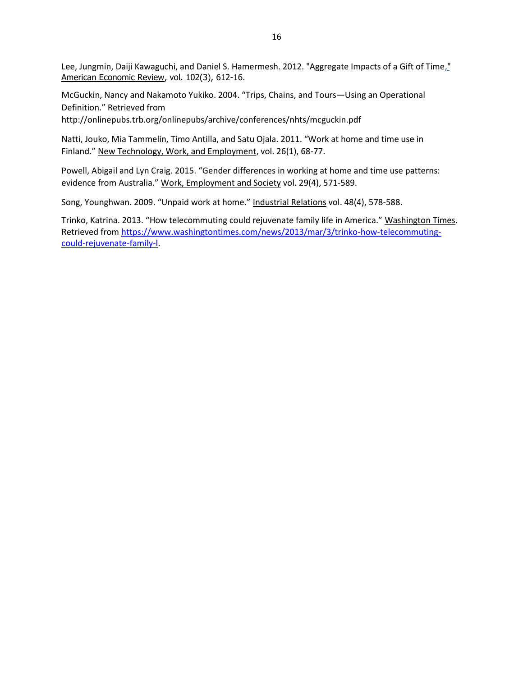Lee, Jungmin, Daiji Kawaguchi, and Daniel S. Hamermesh. 2012. "[Aggregate Impacts](http://ideas.repec.org/a/aea/aecrev/v102y2012i3p612-16.html) of a Gift of Time," American Economic Review, vol. 102(3), 612-16.

McGuckin, Nancy and Nakamoto Yukiko. 2004. "Trips, Chains, and Tours—Using an Operational Definition." Retrieved fro[m](http://onlinepubs.trb.org/onlinepubs/archive/conferences/nhts/mcguckin.pdf)

<http://onlinepubs.trb.org/onlinepubs/archive/conferences/nhts/mcguckin.pdf>

Natti, Jouko, Mia Tammelin, Timo Antilla, and Satu Ojala. 2011. "Work at home and time use in Finland." New Technology, Work, and Employment, vol. 26(1), 68-77.

Powell, Abigail and Lyn Craig. 2015. "Gender differences in working at home and time use patterns: evidence from Australia." Work, Employment and Society vol. 29(4), 571-589.

Song, Younghwan. 2009. "Unpaid work at home." Industrial Relations vol. 48(4), 578-588.

Trinko, Katrina. 2013. "How telecommuting could rejuvenate family life in America." Washington Times. Retrieved from [https://www.washingtontimes.com/news/2013/mar/3/trinko-how-telecommuting](https://www.washingtontimes.com/news/2013/mar/3/trinko-how-telecommuting-could-rejuvenate-family-l)[could-rejuvenate-family-l.](https://www.washingtontimes.com/news/2013/mar/3/trinko-how-telecommuting-could-rejuvenate-family-l)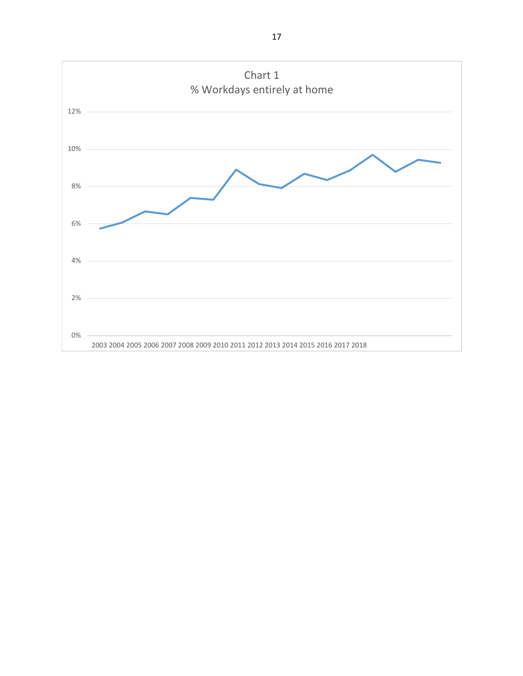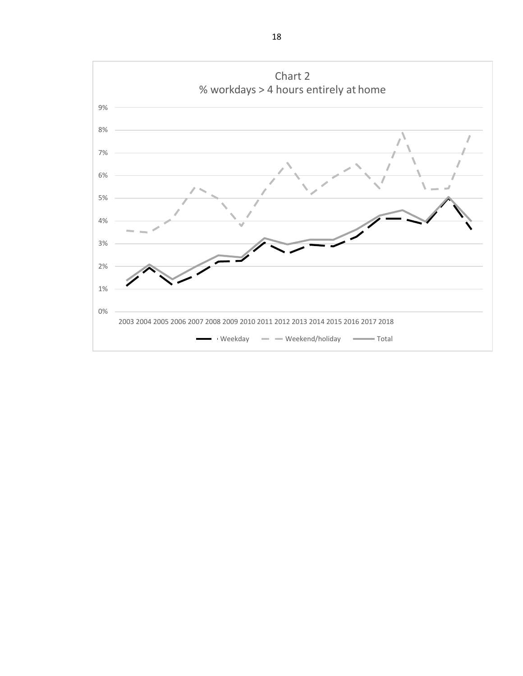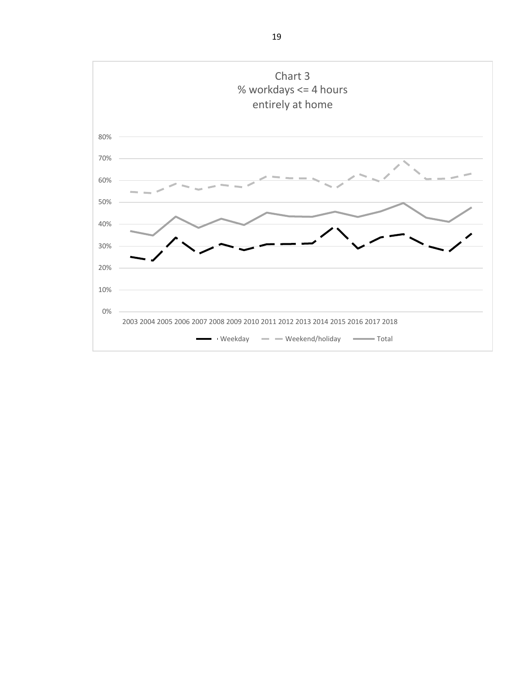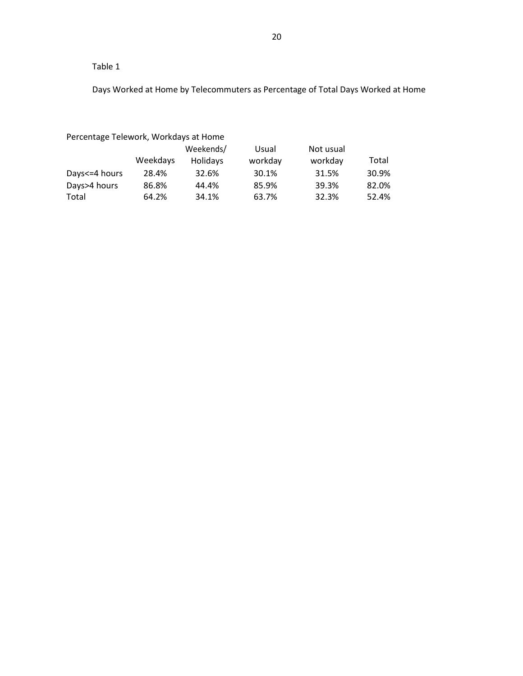Days Worked at Home by Telecommuters as Percentage of Total Days Worked at Home

Percentage Telework, Workdays at Home

|                 |          | Weekends/       | Usual   | Not usual |       |
|-----------------|----------|-----------------|---------|-----------|-------|
|                 | Weekdays | <b>Holidays</b> | workday | workday   | Total |
| Days <= 4 hours | 28.4%    | 32.6%           | 30.1%   | 31.5%     | 30.9% |
| Days>4 hours    | 86.8%    | 44.4%           | 85.9%   | 39.3%     | 82.0% |
| Total           | 64.2%    | 34.1%           | 63.7%   | 32.3%     | 52.4% |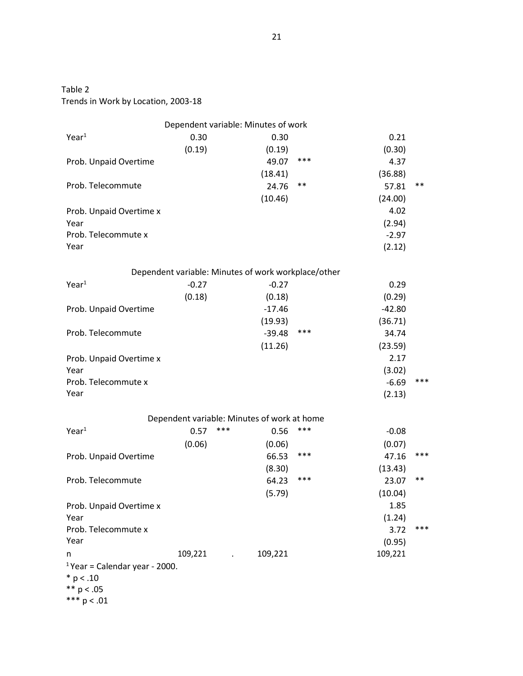Trends in Work by Location, 2003-18

| Dependent variable: Minutes of work       |         |                                             |          |                                                     |          |       |  |
|-------------------------------------------|---------|---------------------------------------------|----------|-----------------------------------------------------|----------|-------|--|
| Year <sup>1</sup>                         | 0.30    |                                             | 0.30     |                                                     | 0.21     |       |  |
|                                           | (0.19)  |                                             | (0.19)   |                                                     | (0.30)   |       |  |
| Prob. Unpaid Overtime                     |         |                                             | 49.07    | ***                                                 | 4.37     |       |  |
|                                           |         |                                             | (18.41)  |                                                     | (36.88)  |       |  |
| Prob. Telecommute                         |         |                                             | 24.76    | $***$                                               | 57.81    | $***$ |  |
|                                           |         |                                             | (10.46)  |                                                     | (24.00)  |       |  |
| Prob. Unpaid Overtime x                   |         |                                             |          |                                                     | 4.02     |       |  |
| Year                                      |         |                                             |          |                                                     | (2.94)   |       |  |
| Prob. Telecommute x                       |         |                                             |          |                                                     | $-2.97$  |       |  |
| Year                                      |         |                                             |          |                                                     | (2.12)   |       |  |
|                                           |         |                                             |          | Dependent variable: Minutes of work workplace/other |          |       |  |
| Year <sup>1</sup>                         | $-0.27$ |                                             | $-0.27$  |                                                     | 0.29     |       |  |
|                                           | (0.18)  |                                             | (0.18)   |                                                     | (0.29)   |       |  |
| Prob. Unpaid Overtime                     |         |                                             | $-17.46$ |                                                     | $-42.80$ |       |  |
|                                           |         |                                             | (19.93)  |                                                     | (36.71)  |       |  |
| Prob. Telecommute                         |         |                                             | $-39.48$ | ***                                                 | 34.74    |       |  |
|                                           |         |                                             | (11.26)  |                                                     | (23.59)  |       |  |
| Prob. Unpaid Overtime x                   |         |                                             |          |                                                     | 2.17     |       |  |
| Year                                      |         |                                             |          |                                                     | (3.02)   |       |  |
| Prob. Telecommute x                       |         |                                             |          |                                                     | $-6.69$  | ***   |  |
| Year                                      |         |                                             |          |                                                     | (2.13)   |       |  |
|                                           |         | Dependent variable: Minutes of work at home |          |                                                     |          |       |  |
| Year <sup>1</sup>                         | 0.57    | ***                                         | 0.56     | ***                                                 | $-0.08$  |       |  |
|                                           | (0.06)  |                                             | (0.06)   |                                                     | (0.07)   |       |  |
| Prob. Unpaid Overtime                     |         |                                             | 66.53    | ***                                                 | 47.16    | $***$ |  |
|                                           |         |                                             | (8.30)   |                                                     | (13.43)  |       |  |
| Prob. Telecommute                         |         |                                             | 64.23    | ***                                                 | 23.07    | $***$ |  |
|                                           |         |                                             | (5.79)   |                                                     | (10.04)  |       |  |
| Prob. Unpaid Overtime x                   |         |                                             |          |                                                     | 1.85     |       |  |
| Year                                      |         |                                             |          |                                                     | (1.24)   |       |  |
| Prob. Telecommute x                       |         |                                             |          |                                                     | 3.72     | ***   |  |
| Year                                      |         |                                             |          |                                                     | (0.95)   |       |  |
| n                                         | 109,221 |                                             | 109,221  |                                                     | 109,221  |       |  |
| <sup>1</sup> Year = Calendar year - 2000. |         |                                             |          |                                                     |          |       |  |
| $* p < .10$                               |         |                                             |          |                                                     |          |       |  |
| ** $p < .05$                              |         |                                             |          |                                                     |          |       |  |
| *** $p < .01$                             |         |                                             |          |                                                     |          |       |  |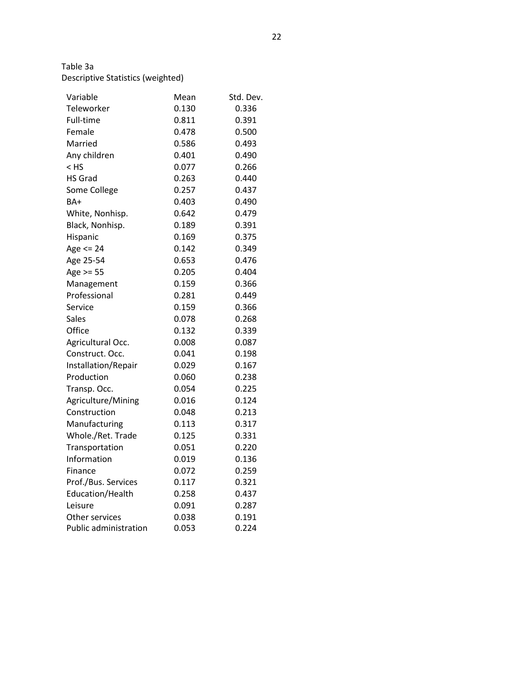# Descriptive Statistics (weighted)

| Variable                     | Mean  | Std. Dev. |
|------------------------------|-------|-----------|
| Teleworker                   | 0.130 | 0.336     |
| Full-time                    | 0.811 | 0.391     |
| Female                       | 0.478 | 0.500     |
| Married                      | 0.586 | 0.493     |
| Any children                 | 0.401 | 0.490     |
| $<$ HS                       | 0.077 | 0.266     |
| <b>HS Grad</b>               | 0.263 | 0.440     |
| Some College                 | 0.257 | 0.437     |
| $BA+$                        | 0.403 | 0.490     |
| White, Nonhisp.              | 0.642 | 0.479     |
| Black, Nonhisp.              | 0.189 | 0.391     |
| Hispanic                     | 0.169 | 0.375     |
| Age $<= 24$                  | 0.142 | 0.349     |
| Age 25-54                    | 0.653 | 0.476     |
| Age $>=$ 55                  | 0.205 | 0.404     |
| Management                   | 0.159 | 0.366     |
| Professional                 | 0.281 | 0.449     |
| Service                      | 0.159 | 0.366     |
| Sales                        | 0.078 | 0.268     |
| Office                       | 0.132 | 0.339     |
| Agricultural Occ.            | 0.008 | 0.087     |
| Construct. Occ.              | 0.041 | 0.198     |
| Installation/Repair          | 0.029 | 0.167     |
| Production                   | 0.060 | 0.238     |
| Transp. Occ.                 | 0.054 | 0.225     |
| Agriculture/Mining           | 0.016 | 0.124     |
| Construction                 | 0.048 | 0.213     |
| Manufacturing                | 0.113 | 0.317     |
| Whole./Ret. Trade            | 0.125 | 0.331     |
| Transportation               | 0.051 | 0.220     |
| Information                  | 0.019 | 0.136     |
| Finance                      | 0.072 | 0.259     |
| Prof./Bus. Services          | 0.117 | 0.321     |
| Education/Health             | 0.258 | 0.437     |
| Leisure                      | 0.091 | 0.287     |
| Other services               | 0.038 | 0.191     |
| <b>Public administration</b> | 0.053 | 0.224     |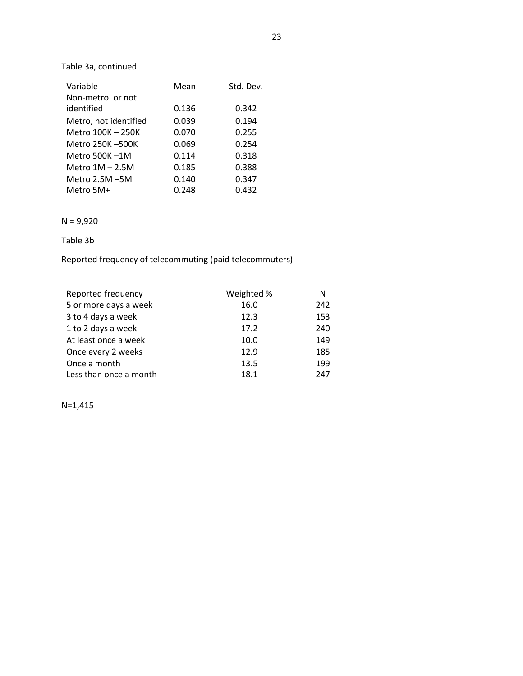### Table 3a, continued

| Variable              | Mean  | Std. Dev. |
|-----------------------|-------|-----------|
| Non-metro, or not     |       |           |
| identified            | 0.136 | 0.342     |
| Metro, not identified | 0.039 | 0.194     |
| Metro 100K - 250K     | 0.070 | 0.255     |
| Metro 250K-500K       | 0.069 | 0.254     |
| Metro $500K - 1M$     | 0.114 | 0.318     |
| Metro $1M - 2.5M$     | 0.185 | 0.388     |
| Metro $2.5M - 5M$     | 0.140 | 0.347     |
| Metro 5M+             | 0.248 | 0.432     |

## N = 9,920

### Table 3b

Reported frequency of telecommuting (paid telecommuters)

| Reported frequency     | Weighted % | N   |
|------------------------|------------|-----|
| 5 or more days a week  | 16.0       | 242 |
| 3 to 4 days a week     | 12.3       | 153 |
| 1 to 2 days a week     | 17.2       | 240 |
| At least once a week   | 10.0       | 149 |
| Once every 2 weeks     | 12.9       | 185 |
| Once a month           | 13.5       | 199 |
| Less than once a month | 18.1       | 247 |

N=1,415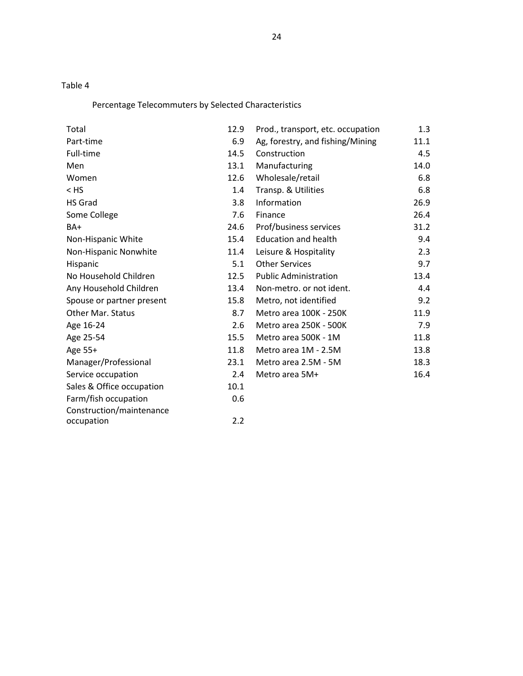# Percentage Telecommuters by Selected Characteristics

| Total                     | 12.9 | Prod., transport, etc. occupation | 1.3  |
|---------------------------|------|-----------------------------------|------|
| Part-time                 | 6.9  | Ag, forestry, and fishing/Mining  | 11.1 |
| Full-time                 | 14.5 | Construction                      | 4.5  |
| Men                       | 13.1 | Manufacturing                     | 14.0 |
| Women                     | 12.6 | Wholesale/retail                  | 6.8  |
| $<$ HS                    | 1.4  | Transp. & Utilities               | 6.8  |
| <b>HS Grad</b>            | 3.8  | Information                       | 26.9 |
| Some College              | 7.6  | Finance                           | 26.4 |
| BA+                       | 24.6 | Prof/business services            | 31.2 |
| Non-Hispanic White        | 15.4 | <b>Education and health</b>       | 9.4  |
| Non-Hispanic Nonwhite     | 11.4 | Leisure & Hospitality             | 2.3  |
| Hispanic                  | 5.1  | <b>Other Services</b>             | 9.7  |
| No Household Children     | 12.5 | <b>Public Administration</b>      | 13.4 |
| Any Household Children    | 13.4 | Non-metro. or not ident.          | 4.4  |
| Spouse or partner present | 15.8 | Metro, not identified             | 9.2  |
| Other Mar. Status         | 8.7  | Metro area 100K - 250K            | 11.9 |
| Age 16-24                 | 2.6  | Metro area 250K - 500K            | 7.9  |
| Age 25-54                 | 15.5 | Metro area 500K - 1M              | 11.8 |
| Age 55+                   | 11.8 | Metro area 1M - 2.5M              | 13.8 |
| Manager/Professional      | 23.1 | Metro area 2.5M - 5M              | 18.3 |
| Service occupation        | 2.4  | Metro area 5M+                    | 16.4 |
| Sales & Office occupation | 10.1 |                                   |      |
| Farm/fish occupation      | 0.6  |                                   |      |
| Construction/maintenance  |      |                                   |      |
| occupation                | 2.2  |                                   |      |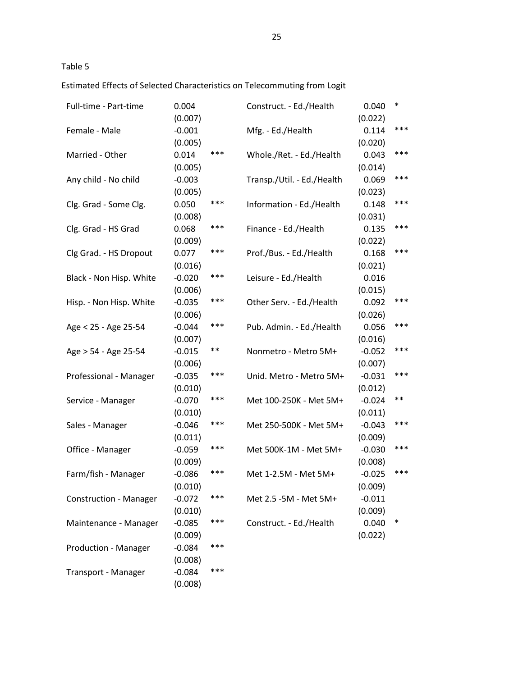Estimated Effects of Selected Characteristics on Telecommuting from Logit

| Full-time - Part-time         | 0.004<br>(0.007)    |     | Construct. - Ed./Health    | 0.040<br>(0.022) | $\ast$ |
|-------------------------------|---------------------|-----|----------------------------|------------------|--------|
| Female - Male                 | $-0.001$            |     | Mfg. - Ed./Health          | 0.114            | ***    |
|                               | (0.005)             |     |                            | (0.020)          |        |
| Married - Other               | 0.014               | *** | Whole./Ret. - Ed./Health   | 0.043            | ***    |
|                               | (0.005)             |     |                            | (0.014)          |        |
| Any child - No child          | $-0.003$            |     | Transp./Util. - Ed./Health | 0.069            | ***    |
|                               | (0.005)             |     |                            | (0.023)          |        |
| Clg. Grad - Some Clg.         | 0.050               | *** | Information - Ed./Health   | 0.148            | ***    |
|                               | (0.008)             |     |                            | (0.031)          |        |
| Clg. Grad - HS Grad           | 0.068               | *** | Finance - Ed./Health       | 0.135            | ***    |
|                               | (0.009)             |     |                            | (0.022)          |        |
| Clg Grad. - HS Dropout        | 0.077               | *** | Prof./Bus. - Ed./Health    | 0.168            | ***    |
|                               | (0.016)             |     |                            | (0.021)          |        |
| Black - Non Hisp. White       | $-0.020$            | *** | Leisure - Ed./Health       | 0.016            |        |
|                               | (0.006)             |     |                            | (0.015)          |        |
| Hisp. - Non Hisp. White       | $-0.035$            | *** | Other Serv. - Ed./Health   | 0.092            | ***    |
|                               | (0.006)             |     |                            | (0.026)          |        |
| Age < 25 - Age 25-54          | $-0.044$            | *** | Pub. Admin. - Ed./Health   | 0.056            | ***    |
|                               | (0.007)             |     |                            | (0.016)          |        |
| Age > 54 - Age 25-54          | $-0.015$            | **  | Nonmetro - Metro 5M+       | $-0.052$         | ***    |
|                               | (0.006)             |     |                            | (0.007)          |        |
| Professional - Manager        | $-0.035$            | *** | Unid. Metro - Metro 5M+    | $-0.031$         | ***    |
|                               | (0.010)             |     |                            | (0.012)          |        |
| Service - Manager             | $-0.070$            | *** | Met 100-250K - Met 5M+     | $-0.024$         | $***$  |
|                               | (0.010)             |     |                            | (0.011)          |        |
| Sales - Manager               | $-0.046$            | *** | Met 250-500K - Met 5M+     | $-0.043$         | ***    |
|                               | (0.011)             |     |                            | (0.009)          |        |
| Office - Manager              | $-0.059$            | *** | Met 500K-1M - Met 5M+      | $-0.030$         | ***    |
|                               | (0.009)             |     |                            | (0.008)          |        |
| Farm/fish - Manager           | $-0.086$            | *** | Met 1-2.5M - Met 5M+       | $-0.025$         | ***    |
|                               | (0.010)             |     |                            | (0.009)          |        |
| <b>Construction - Manager</b> | $-0.072$            | *** | Met 2.5 - 5M - Met 5M+     | $-0.011$         |        |
|                               | (0.010)             |     |                            | (0.009)          |        |
| Maintenance - Manager         | $-0.085$            | *** | Construct. - Ed./Health    | 0.040            | $\ast$ |
|                               | (0.009)             |     |                            | (0.022)          |        |
| <b>Production - Manager</b>   | $-0.084$            | *** |                            |                  |        |
|                               | (0.008)             |     |                            |                  |        |
| Transport - Manager           | $-0.084$<br>(0.008) | *** |                            |                  |        |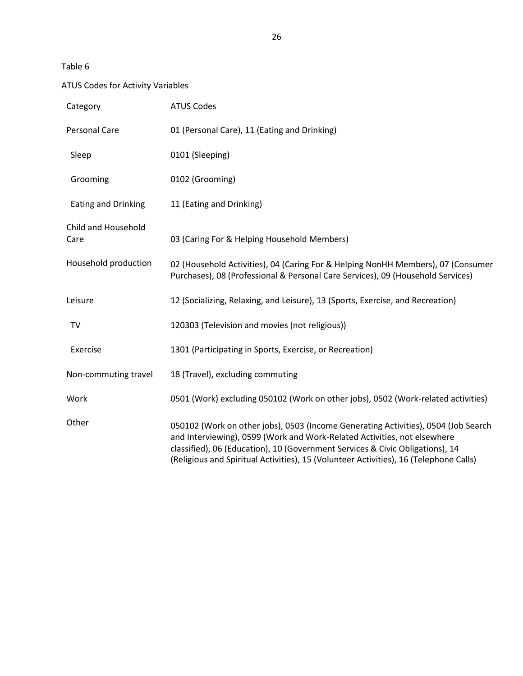# ATUS Codes for Activity Variables

| Category                    | <b>ATUS Codes</b>                                                                                                                                                                                                                                                                                                                        |
|-----------------------------|------------------------------------------------------------------------------------------------------------------------------------------------------------------------------------------------------------------------------------------------------------------------------------------------------------------------------------------|
| Personal Care               | 01 (Personal Care), 11 (Eating and Drinking)                                                                                                                                                                                                                                                                                             |
| Sleep                       | 0101 (Sleeping)                                                                                                                                                                                                                                                                                                                          |
| Grooming                    | 0102 (Grooming)                                                                                                                                                                                                                                                                                                                          |
| <b>Eating and Drinking</b>  | 11 (Eating and Drinking)                                                                                                                                                                                                                                                                                                                 |
| Child and Household<br>Care | 03 (Caring For & Helping Household Members)                                                                                                                                                                                                                                                                                              |
| Household production        | 02 (Household Activities), 04 (Caring For & Helping NonHH Members), 07 (Consumer<br>Purchases), 08 (Professional & Personal Care Services), 09 (Household Services)                                                                                                                                                                      |
| Leisure                     | 12 (Socializing, Relaxing, and Leisure), 13 (Sports, Exercise, and Recreation)                                                                                                                                                                                                                                                           |
| <b>TV</b>                   | 120303 (Television and movies (not religious))                                                                                                                                                                                                                                                                                           |
| Exercise                    | 1301 (Participating in Sports, Exercise, or Recreation)                                                                                                                                                                                                                                                                                  |
| Non-commuting travel        | 18 (Travel), excluding commuting                                                                                                                                                                                                                                                                                                         |
| Work                        | 0501 (Work) excluding 050102 (Work on other jobs), 0502 (Work-related activities)                                                                                                                                                                                                                                                        |
| Other                       | 050102 (Work on other jobs), 0503 (Income Generating Activities), 0504 (Job Search<br>and Interviewing), 0599 (Work and Work-Related Activities, not elsewhere<br>classified), 06 (Education), 10 (Government Services & Civic Obligations), 14<br>(Religious and Spiritual Activities), 15 (Volunteer Activities), 16 (Telephone Calls) |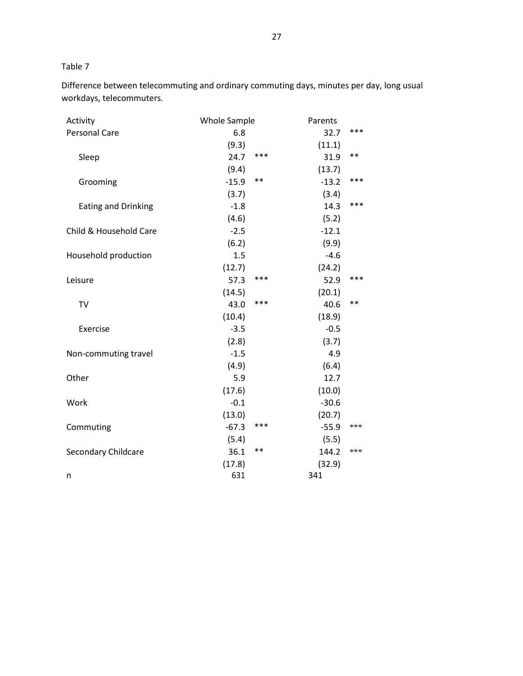Difference between telecommuting and ordinary commuting days, minutes per day, long usual workdays, telecommuters.

| Activity                   | <b>Whole Sample</b> | Parents |         |       |
|----------------------------|---------------------|---------|---------|-------|
| <b>Personal Care</b>       | 6.8                 |         | 32.7    | ***   |
|                            | (9.3)               |         | (11.1)  |       |
| Sleep                      | 24.7                | ***     | 31.9    | $***$ |
|                            | (9.4)               |         | (13.7)  |       |
| Grooming                   | $-15.9$             | $**$    | $-13.2$ | $***$ |
|                            | (3.7)               |         | (3.4)   |       |
| <b>Eating and Drinking</b> | $-1.8$              |         | 14.3    | ***   |
|                            | (4.6)               |         | (5.2)   |       |
| Child & Household Care     | $-2.5$              |         | $-12.1$ |       |
|                            | (6.2)               |         | (9.9)   |       |
| Household production       | 1.5                 |         | $-4.6$  |       |
|                            | (12.7)              |         | (24.2)  |       |
| Leisure                    | 57.3                | ***     | 52.9    | ***   |
|                            | (14.5)              |         | (20.1)  |       |
| <b>TV</b>                  | 43.0                | ***     | 40.6    | $***$ |
|                            | (10.4)              |         | (18.9)  |       |
| Exercise                   | $-3.5$              |         | $-0.5$  |       |
|                            | (2.8)               |         | (3.7)   |       |
| Non-commuting travel       | $-1.5$              |         | 4.9     |       |
|                            | (4.9)               |         | (6.4)   |       |
| Other                      | 5.9                 |         | 12.7    |       |
|                            | (17.6)              |         | (10.0)  |       |
| Work                       | $-0.1$              |         | $-30.6$ |       |
|                            | (13.0)              |         | (20.7)  |       |
| Commuting                  | $-67.3$             | $***$   | $-55.9$ | ***   |
|                            | (5.4)               |         | (5.5)   |       |
| Secondary Childcare        | 36.1                | $* *$   | 144.2   | ***   |
|                            | (17.8)              |         | (32.9)  |       |
| n                          | 631                 |         | 341     |       |